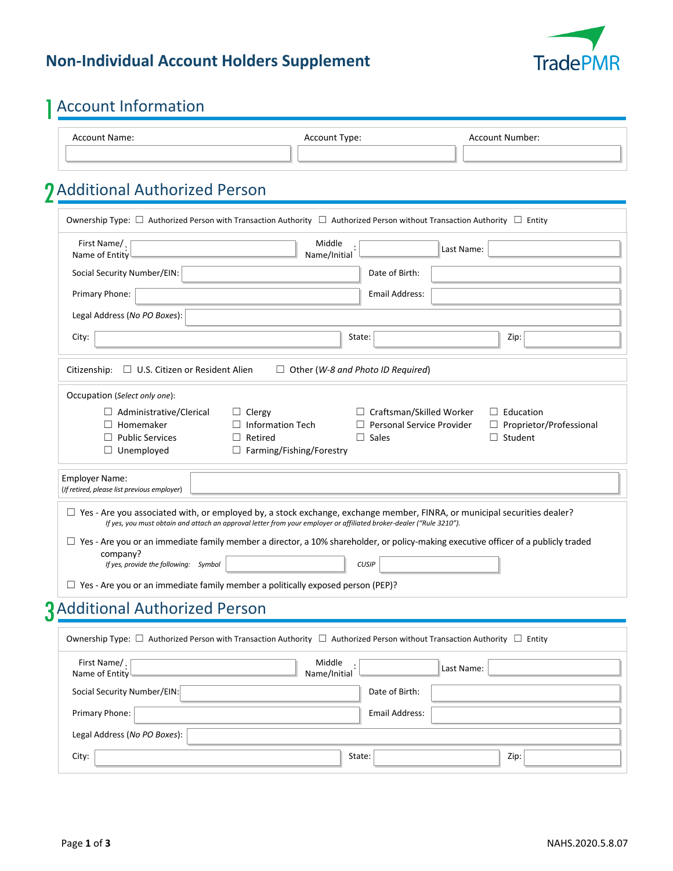### **Non-Individual Account Holders Supplement**



# 1 Account Information

| Account Type:<br>Account Name: |  | Account Number: |
|--------------------------------|--|-----------------|
|                                |  |                 |

# 2 Additional Authorized Person

| First Name/.<br>Name of Entity                                                                                                            | Middle<br>Name/Initial                                                                                              |                                          | Last Name: |                                |
|-------------------------------------------------------------------------------------------------------------------------------------------|---------------------------------------------------------------------------------------------------------------------|------------------------------------------|------------|--------------------------------|
| Social Security Number/EIN:                                                                                                               |                                                                                                                     | Date of Birth:                           |            |                                |
| Primary Phone:                                                                                                                            |                                                                                                                     | Email Address:                           |            |                                |
| Legal Address (No PO Boxes):                                                                                                              |                                                                                                                     |                                          |            |                                |
| City:                                                                                                                                     |                                                                                                                     | State:                                   |            | Zip:                           |
| $\Box$ U.S. Citizen or Resident Alien<br>Citizenship:                                                                                     |                                                                                                                     | $\Box$ Other (W-8 and Photo ID Required) |            |                                |
| Occupation (Select only one):                                                                                                             |                                                                                                                     |                                          |            |                                |
| $\Box$ Administrative/Clerical                                                                                                            | $\Box$ Clergy                                                                                                       | □ Craftsman/Skilled Worker               |            | $\Box$ Education               |
| $\Box$ Homemaker                                                                                                                          | $\Box$ Information Tech                                                                                             | $\Box$ Personal Service Provider         |            | $\Box$ Proprietor/Professional |
| $\Box$ Public Services                                                                                                                    | $\Box$ Retired                                                                                                      | $\Box$ Sales                             |            | $\Box$ Student                 |
| $\Box$ Unemployed                                                                                                                         | $\Box$ Farming/Fishing/Forestry                                                                                     |                                          |            |                                |
| <b>Employer Name:</b><br>(If retired, please list previous employer)                                                                      |                                                                                                                     |                                          |            |                                |
| $\Box$ Yes - Are you associated with, or employed by, a stock exchange, exchange member, FINRA, or municipal securities dealer?           |                                                                                                                     |                                          |            |                                |
|                                                                                                                                           | If yes, you must obtain and attach an approval letter from your employer or affiliated broker-dealer ("Rule 3210"). |                                          |            |                                |
| $\Box$ Yes - Are you or an immediate family member a director, a 10% shareholder, or policy-making executive officer of a publicly traded |                                                                                                                     |                                          |            |                                |
| company?                                                                                                                                  |                                                                                                                     |                                          |            |                                |
| If yes, provide the following: Symbol                                                                                                     |                                                                                                                     | <b>CUSIP</b>                             |            |                                |
| $\Box$ Yes - Are you or an immediate family member a politically exposed person (PEP)?                                                    |                                                                                                                     |                                          |            |                                |
| <b>3</b> Additional Authorized Person                                                                                                     |                                                                                                                     |                                          |            |                                |
|                                                                                                                                           |                                                                                                                     |                                          |            |                                |
| Ownership Type: $\Box$ Authorized Person with Transaction Authority $\Box$ Authorized Person without Transaction Authority $\Box$ Entity  |                                                                                                                     |                                          |            |                                |
|                                                                                                                                           |                                                                                                                     |                                          |            |                                |

| Social Security Number/EIN:  | Date of Birth: |
|------------------------------|----------------|
| Primary Phone:               | Email Address: |
| Legal Address (No PO Boxes): |                |
| City:                        | Zip:<br>State: |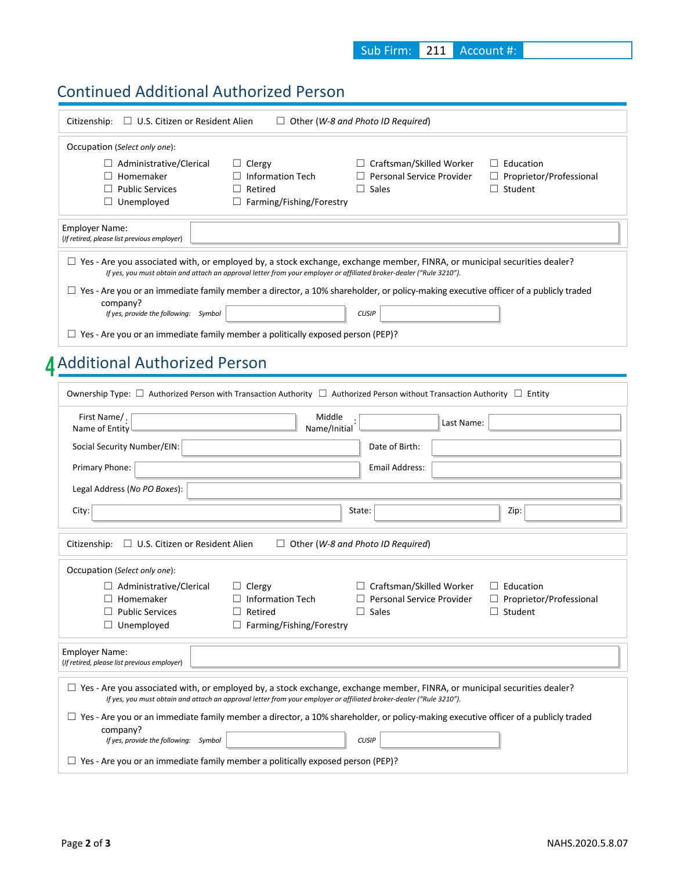### Continued Additional Authorized Person

| Citizenship: $\Box$ U.S. Citizen or Resident Alien                                                                                                                                                                                                     |                                                                                        | $\Box$ Other (W-8 and Photo ID Required)                                            |                                                                      |
|--------------------------------------------------------------------------------------------------------------------------------------------------------------------------------------------------------------------------------------------------------|----------------------------------------------------------------------------------------|-------------------------------------------------------------------------------------|----------------------------------------------------------------------|
| Occupation (Select only one):                                                                                                                                                                                                                          |                                                                                        |                                                                                     |                                                                      |
| $\Box$ Administrative/Clerical<br>Homemaker<br><b>Public Services</b><br>$\Box$ Unemployed                                                                                                                                                             | $\Box$ Clergy<br>$\Box$ Information Tech<br>Retired<br>□ Farming/Fishing/Forestry      | $\Box$ Craftsman/Skilled Worker<br>$\Box$ Personal Service Provider<br>$\Box$ Sales | $\Box$ Education<br>$\Box$ Proprietor/Professional<br>$\Box$ Student |
| <b>Employer Name:</b><br>(If retired, please list previous employer)                                                                                                                                                                                   |                                                                                        |                                                                                     |                                                                      |
| $\Box$ Yes - Are you associated with, or employed by, a stock exchange, exchange member, FINRA, or municipal securities dealer?<br>If yes, you must obtain and attach an approval letter from your employer or affiliated broker-dealer ("Rule 3210"). |                                                                                        |                                                                                     |                                                                      |
| $\Box$ Yes - Are you or an immediate family member a director, a 10% shareholder, or policy-making executive officer of a publicly traded<br>company?                                                                                                  |                                                                                        |                                                                                     |                                                                      |
| If yes, provide the following: Symbol                                                                                                                                                                                                                  |                                                                                        | <b>CUSIP</b>                                                                        |                                                                      |
| $\Box$ Yes - Are you or an immediate family member a politically exposed person (PEP)?                                                                                                                                                                 |                                                                                        |                                                                                     |                                                                      |
| <b>Additional Authorized Person</b>                                                                                                                                                                                                                    |                                                                                        |                                                                                     |                                                                      |
| Ownership Type: $\Box$ Authorized Person with Transaction Authority $\Box$ Authorized Person without Transaction Authority $\Box$ Entity                                                                                                               |                                                                                        |                                                                                     |                                                                      |
| First Name/.                                                                                                                                                                                                                                           | Middle                                                                                 |                                                                                     |                                                                      |
| Name of Entity                                                                                                                                                                                                                                         | Name/Initial                                                                           | Last Name:                                                                          |                                                                      |
| Social Security Number/EIN:                                                                                                                                                                                                                            |                                                                                        | Date of Birth:                                                                      |                                                                      |
| Primary Phone:                                                                                                                                                                                                                                         |                                                                                        | <b>Email Address:</b>                                                               |                                                                      |
| Legal Address (No PO Boxes):                                                                                                                                                                                                                           |                                                                                        |                                                                                     |                                                                      |
| City:                                                                                                                                                                                                                                                  |                                                                                        | State:                                                                              | Zip:                                                                 |
| Citizenship: $\Box$ U.S. Citizen or Resident Alien                                                                                                                                                                                                     |                                                                                        | $\Box$ Other (W-8 and Photo ID Required)                                            |                                                                      |
| Occupation (Select only one):                                                                                                                                                                                                                          |                                                                                        |                                                                                     |                                                                      |
| $\Box$ Administrative/Clerical<br>Homemaker<br>$\Box$ Public Services<br>$\Box$ Unemployed                                                                                                                                                             | $\Box$ Clergy<br>Information Tech<br>$\Box$ Retired<br>$\Box$ Farming/Fishing/Forestry | $\Box$ Craftsman/Skilled Worker<br>Personal Service Provider<br>$\Box$ Sales        | $\Box$ Education<br>□ Proprietor/Professional<br>$\Box$ Student      |
| <b>Employer Name:</b><br>(If retired, please list previous employer)                                                                                                                                                                                   |                                                                                        |                                                                                     |                                                                      |
| $\Box$ Yes - Are you associated with, or employed by, a stock exchange, exchange member, FINRA, or municipal securities dealer?<br>If yes, you must obtain and attach an approval letter from your employer or affiliated broker-dealer ("Rule 3210"). |                                                                                        |                                                                                     |                                                                      |
| $\Box$ Yes - Are you or an immediate family member a director, a 10% shareholder, or policy-making executive officer of a publicly traded<br>company?                                                                                                  |                                                                                        |                                                                                     |                                                                      |
| If yes, provide the following: Symbol                                                                                                                                                                                                                  |                                                                                        | <b>CUSIP</b>                                                                        |                                                                      |
| $\Box$ Yes - Are you or an immediate family member a politically exposed person (PEP)?                                                                                                                                                                 |                                                                                        |                                                                                     |                                                                      |